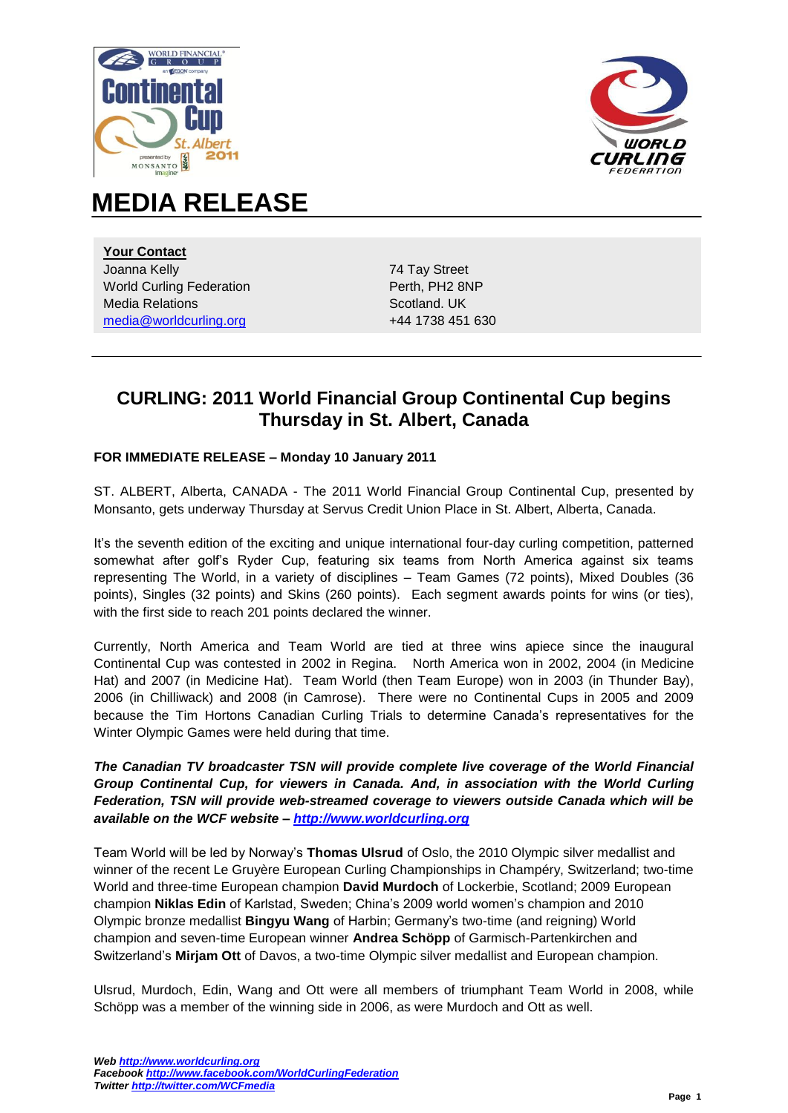



# **MEDIA RELEASE**

**Your Contact**  Joanna Kelly World Curling Federation Media Relations [media@worldcurling.org](mailto:media@worldcurling.org)

74 Tay Street Perth, PH2 8NP Scotland. UK +44 1738 451 630

## **CURLING: 2011 World Financial Group Continental Cup begins Thursday in St. Albert, Canada**

#### **FOR IMMEDIATE RELEASE – Monday 10 January 2011**

ST. ALBERT, Alberta, CANADA - The 2011 World Financial Group Continental Cup, presented by Monsanto, gets underway Thursday at Servus Credit Union Place in St. Albert, Alberta, Canada.

It's the seventh edition of the exciting and unique international four-day curling competition, patterned somewhat after golf's Ryder Cup, featuring six teams from North America against six teams representing The World, in a variety of disciplines – Team Games (72 points), Mixed Doubles (36 points), Singles (32 points) and Skins (260 points). Each segment awards points for wins (or ties), with the first side to reach 201 points declared the winner.

Currently, North America and Team World are tied at three wins apiece since the inaugural Continental Cup was contested in 2002 in Regina. North America won in 2002, 2004 (in Medicine Hat) and 2007 (in Medicine Hat). Team World (then Team Europe) won in 2003 (in Thunder Bay), 2006 (in Chilliwack) and 2008 (in Camrose). There were no Continental Cups in 2005 and 2009 because the Tim Hortons Canadian Curling Trials to determine Canada's representatives for the Winter Olympic Games were held during that time.

*The Canadian TV broadcaster TSN will provide complete live coverage of the World Financial Group Continental Cup, for viewers in Canada. And, in association with the World Curling Federation, TSN will provide web-streamed coverage to viewers outside Canada which will be available on the WCF website – [http://www.worldcurling.org](http://www.worldcurling.org/)*

Team World will be led by Norway's **Thomas Ulsrud** of Oslo, the 2010 Olympic silver medallist and winner of the recent Le Gruyère European Curling Championships in Champéry, Switzerland; two-time World and three-time European champion **David Murdoch** of Lockerbie, Scotland; 2009 European champion **Niklas Edin** of Karlstad, Sweden; China's 2009 world women's champion and 2010 Olympic bronze medallist **Bingyu Wang** of Harbin; Germany's two-time (and reigning) World champion and seven-time European winner **Andrea Schöpp** of Garmisch-Partenkirchen and Switzerland's **Mirjam Ott** of Davos, a two-time Olympic silver medallist and European champion.

Ulsrud, Murdoch, Edin, Wang and Ott were all members of triumphant Team World in 2008, while Schöpp was a member of the winning side in 2006, as were Murdoch and Ott as well.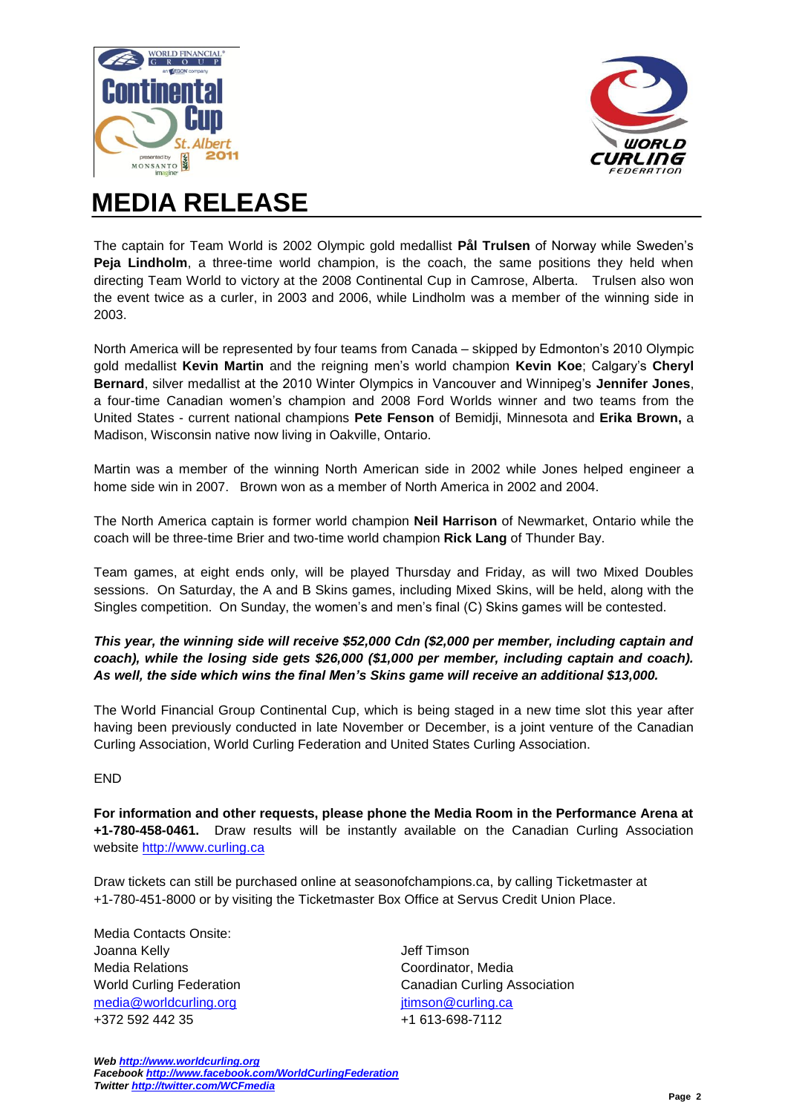



# **MEDIA RELEASE**

The captain for Team World is 2002 Olympic gold medallist **Pål Trulsen** of Norway while Sweden's **Peja Lindholm**, a three-time world champion, is the coach, the same positions they held when directing Team World to victory at the 2008 Continental Cup in Camrose, Alberta. Trulsen also won the event twice as a curler, in 2003 and 2006, while Lindholm was a member of the winning side in 2003.

North America will be represented by four teams from Canada – skipped by Edmonton's 2010 Olympic gold medallist **Kevin Martin** and the reigning men's world champion **Kevin Koe**; Calgary's **Cheryl Bernard**, silver medallist at the 2010 Winter Olympics in Vancouver and Winnipeg's **Jennifer Jones**, a four-time Canadian women's champion and 2008 Ford Worlds winner and two teams from the United States - current national champions **Pete Fenson** of Bemidji, Minnesota and **Erika Brown,** a Madison, Wisconsin native now living in Oakville, Ontario.

Martin was a member of the winning North American side in 2002 while Jones helped engineer a home side win in 2007. Brown won as a member of North America in 2002 and 2004.

The North America captain is former world champion **Neil Harrison** of Newmarket, Ontario while the coach will be three-time Brier and two-time world champion **Rick Lang** of Thunder Bay.

Team games, at eight ends only, will be played Thursday and Friday, as will two Mixed Doubles sessions. On Saturday, the A and B Skins games, including Mixed Skins, will be held, along with the Singles competition. On Sunday, the women's and men's final (C) Skins games will be contested.

#### *This year, the winning side will receive \$52,000 Cdn (\$2,000 per member, including captain and coach), while the losing side gets \$26,000 (\$1,000 per member, including captain and coach). As well, the side which wins the final Men's Skins game will receive an additional \$13,000.*

The World Financial Group Continental Cup, which is being staged in a new time slot this year after having been previously conducted in late November or December, is a joint venture of the Canadian Curling Association, World Curling Federation and United States Curling Association.

### END

**For information and other requests, please phone the Media Room in the Performance Arena at +1-780-458-0461.** Draw results will be instantly available on the Canadian Curling Association website [http://www.curling.ca](http://www.curling.ca/)

Draw tickets can still be purchased online at seasonofchampions.ca, by calling Ticketmaster at +1-780-451-8000 or by visiting the Ticketmaster Box Office at Servus Credit Union Place.

Media Contacts Onsite: Joanna Kelly Media Relations World Curling Federation [media@worldcurling.org](mailto:media@worldcurling.org) +372 592 442 35

Jeff Timson Coordinator, Media Canadian Curling Association itimson@curling.ca +1 613-698-7112